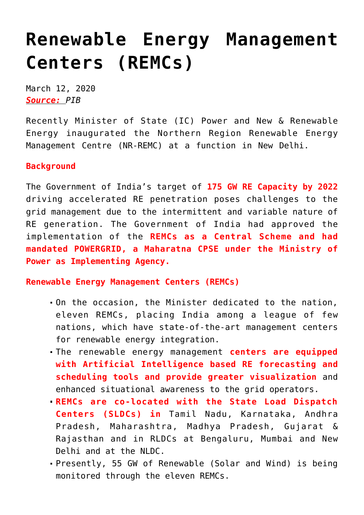## **[Renewable Energy Management](https://journalsofindia.com/renewable-energy-management-centers-remcs/) [Centers \(REMCs\)](https://journalsofindia.com/renewable-energy-management-centers-remcs/)**

March 12, 2020 *Source: PIB*

Recently Minister of State (IC) Power and New & Renewable Energy inaugurated the Northern Region Renewable Energy Management Centre (NR-REMC) at a function in New Delhi.

## **Background**

The Government of India's target of **175 GW RE Capacity by 2022** driving accelerated RE penetration poses challenges to the grid management due to the intermittent and variable nature of RE generation. The Government of India had approved the implementation of the **REMCs as a Central Scheme and had mandated POWERGRID, a Maharatna CPSE under the Ministry of Power as Implementing Agency.** 

**Renewable Energy Management Centers (REMCs)**

- On the occasion, the Minister dedicated to the nation, eleven REMCs, placing India among a league of few nations, which have state-of-the-art management centers for renewable energy integration.
- The renewable energy management **centers are equipped with Artificial Intelligence based RE forecasting and scheduling tools and provide greater visualization** and enhanced situational awareness to the grid operators.
- **REMCs are co-located with the State Load Dispatch Centers (SLDCs) in** Tamil Nadu, Karnataka, Andhra Pradesh, Maharashtra, Madhya Pradesh, Gujarat & Rajasthan and in RLDCs at Bengaluru, Mumbai and New Delhi and at the NLDC.
- Presently, 55 GW of Renewable (Solar and Wind) is being monitored through the eleven REMCs.